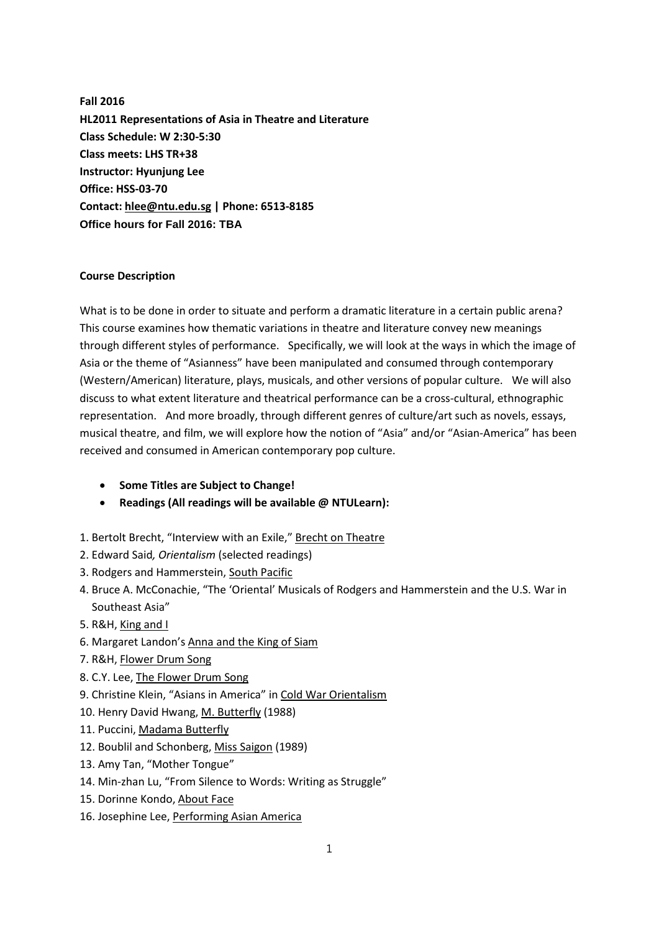**Fall 2016 HL2011 Representations of Asia in Theatre and Literature Class Schedule: W 2:30-5:30 Class meets: LHS TR+38 Instructor: Hyunjung Lee Office: HSS-03-70 Contact: [hlee@ntu.edu.sg](https://webmail.ntu.edu.sg/owa/redir.aspx?C=863e37ce6ca94e32a3560eee4c9c7cf4&URL=mailto%3ahlee%40ntu.edu.sg) | Phone: [6513-8185](tel:6513-8185) Office hours for Fall 2016: TBA**

## **Course Description**

What is to be done in order to situate and perform a dramatic literature in a certain public arena? This course examines how thematic variations in theatre and literature convey new meanings through different styles of performance. Specifically, we will look at the ways in which the image of Asia or the theme of "Asianness" have been manipulated and consumed through contemporary (Western/American) literature, plays, musicals, and other versions of popular culture. We will also discuss to what extent literature and theatrical performance can be a cross-cultural, ethnographic representation. And more broadly, through different genres of culture/art such as novels, essays, musical theatre, and film, we will explore how the notion of "Asia" and/or "Asian-America" has been received and consumed in American contemporary pop culture.

- **Some Titles are Subject to Change!**
- **Readings (All readings will be available @ NTULearn):**
- 1. Bertolt Brecht, "Interview with an Exile," Brecht on Theatre
- 2. Edward Said*, Orientalism* (selected readings)
- 3. Rodgers and Hammerstein, South Pacific
- 4. Bruce A. McConachie, "The 'Oriental' Musicals of Rodgers and Hammerstein and the U.S. War in Southeast Asia"
- 5. R&H, King and I
- 6. Margaret Landon's Anna and the King of Siam
- 7. R&H, Flower Drum Song
- 8. C.Y. Lee, The Flower Drum Song
- 9. Christine Klein, "Asians in America" in Cold War Orientalism
- 10. Henry David Hwang, M. Butterfly (1988)
- 11. Puccini, Madama Butterfly
- 12. Boublil and Schonberg, Miss Saigon (1989)
- 13. Amy Tan, "Mother Tongue"
- 14. Min-zhan Lu, "From Silence to Words: Writing as Struggle"
- 15. Dorinne Kondo, About Face
- 16. Josephine Lee, Performing Asian America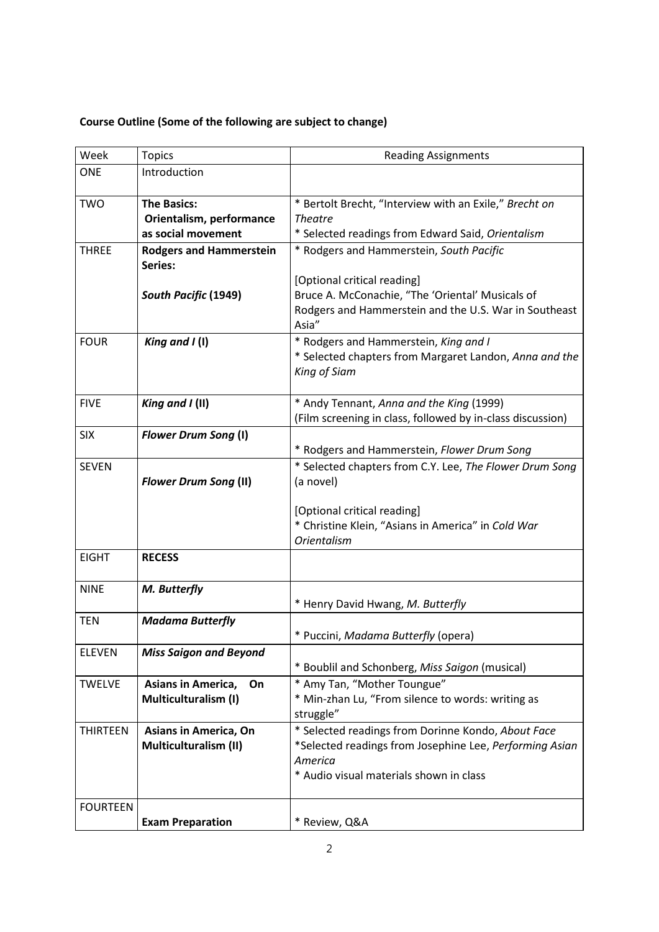## **Course Outline (Some of the following are subject to change)**

| Week            | <b>Topics</b>                                  | <b>Reading Assignments</b>                                               |
|-----------------|------------------------------------------------|--------------------------------------------------------------------------|
| <b>ONE</b>      | Introduction                                   |                                                                          |
| <b>TWO</b>      | <b>The Basics:</b>                             | * Bertolt Brecht, "Interview with an Exile," Brecht on                   |
|                 | Orientalism, performance                       | <b>Theatre</b>                                                           |
|                 | as social movement                             | * Selected readings from Edward Said, Orientalism                        |
| <b>THREE</b>    | <b>Rodgers and Hammerstein</b>                 | * Rodgers and Hammerstein, South Pacific                                 |
|                 | Series:                                        |                                                                          |
|                 |                                                | [Optional critical reading]                                              |
|                 | South Pacific (1949)                           | Bruce A. McConachie, "The 'Oriental' Musicals of                         |
|                 |                                                | Rodgers and Hammerstein and the U.S. War in Southeast                    |
|                 |                                                | Asia"                                                                    |
| <b>FOUR</b>     | King and I (I)                                 | * Rodgers and Hammerstein, King and I                                    |
|                 |                                                | * Selected chapters from Margaret Landon, Anna and the                   |
|                 |                                                | King of Siam                                                             |
|                 |                                                |                                                                          |
| <b>FIVE</b>     | King and I (II)                                | * Andy Tennant, Anna and the King (1999)                                 |
|                 |                                                | (Film screening in class, followed by in-class discussion)               |
| <b>SIX</b>      | <b>Flower Drum Song (I)</b>                    |                                                                          |
|                 |                                                | * Rodgers and Hammerstein, Flower Drum Song                              |
| <b>SEVEN</b>    |                                                | * Selected chapters from C.Y. Lee, The Flower Drum Song                  |
|                 | <b>Flower Drum Song (II)</b>                   | (a novel)                                                                |
|                 |                                                |                                                                          |
|                 |                                                | [Optional critical reading]                                              |
|                 |                                                | * Christine Klein, "Asians in America" in Cold War<br><b>Orientalism</b> |
|                 |                                                |                                                                          |
| <b>EIGHT</b>    | <b>RECESS</b>                                  |                                                                          |
| <b>NINE</b>     |                                                |                                                                          |
|                 | M. Butterfly                                   | * Henry David Hwang, M. Butterfly                                        |
| TEN             | <b>Madama Butterfly</b>                        |                                                                          |
|                 |                                                | * Puccini, Madama Butterfly (opera)                                      |
| <b>ELEVEN</b>   | <b>Miss Saigon and Beyond</b>                  |                                                                          |
|                 |                                                | * Boublil and Schonberg, Miss Saigon (musical)                           |
| <b>TWELVE</b>   | <b>Asians in America,</b><br>On                | * Amy Tan, "Mother Toungue"                                              |
|                 | Multiculturalism (I)                           | * Min-zhan Lu, "From silence to words: writing as                        |
|                 |                                                | struggle"                                                                |
| <b>THIRTEEN</b> |                                                | * Selected readings from Dorinne Kondo, About Face                       |
|                 | Asians in America, On<br>Multiculturalism (II) | *Selected readings from Josephine Lee, Performing Asian                  |
|                 |                                                | America                                                                  |
|                 |                                                | * Audio visual materials shown in class                                  |
|                 |                                                |                                                                          |
| <b>FOURTEEN</b> |                                                |                                                                          |
|                 | <b>Exam Preparation</b>                        | * Review, Q&A                                                            |
|                 |                                                |                                                                          |